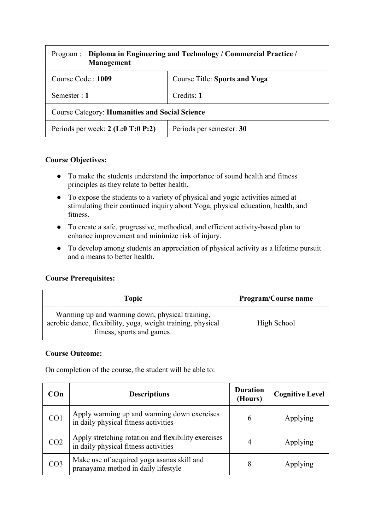| Program :<br>Management                               | Diploma in Engineering and Technology / Commercial Practice / |  |
|-------------------------------------------------------|---------------------------------------------------------------|--|
| Course Code: 1009                                     | <b>Course Title: Sports and Yoga</b>                          |  |
| Semester : 1                                          | Credits: 1                                                    |  |
| <b>Course Category: Humanities and Social Science</b> |                                                               |  |
| Periods per week: $2$ (L:0 T:0 P:2)                   | Periods per semester: 30                                      |  |

### **Course Objectives:**

- To make the students understand the importance of sound health and fitness principles as they relate to better health.
- To expose the students to a variety of physical and yogic activities aimed at stimulating their continued inquiry about Yoga, physical education, health, and fitness.
- To create a safe, progressive, methodical, and efficient activity-based plan to enhance improvement and minimize risk of injury.
- To develop among students an appreciation of physical activity as a lifetime pursuit and a means to better health.

### **Course Prerequisites:**

| Topic                                                                                                                                        | <b>Program/Course name</b> |
|----------------------------------------------------------------------------------------------------------------------------------------------|----------------------------|
| Warming up and warming down, physical training,<br>aerobic dance, flexibility, yoga, weight training, physical<br>fitness, sports and games. | High School                |

### **Course Outcome:**

On completion of the course, the student will be able to:

| COn             | <b>Descriptions</b>                                                                         | <b>Duration</b><br>(Hours) | <b>Cognitive Level</b> |
|-----------------|---------------------------------------------------------------------------------------------|----------------------------|------------------------|
| CO1             | Apply warming up and warming down exercises<br>in daily physical fitness activities         | 6                          | Applying               |
| CO <sub>2</sub> | Apply stretching rotation and flexibility exercises<br>in daily physical fitness activities | 4                          | Applying               |
| CO <sub>3</sub> | Make use of acquired yoga asanas skill and<br>pranayama method in daily lifestyle           | 8                          | Applying               |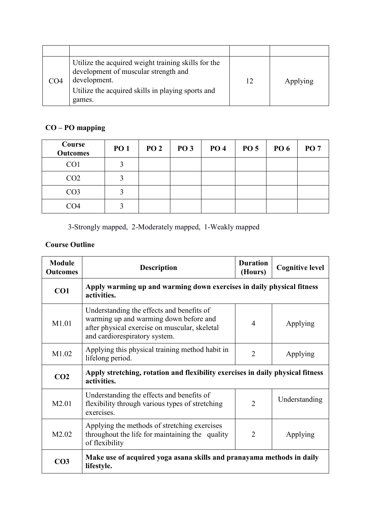| CO4 | Utilize the acquired weight training skills for the<br>development of muscular strength and<br>development.<br>Utilize the acquired skills in playing sports and<br>games. | 12 | Applying |
|-----|----------------------------------------------------------------------------------------------------------------------------------------------------------------------------|----|----------|

# **CO – PO mapping**

| Course<br><b>Outcomes</b> | <b>PO 1</b> | <b>PO 2</b> | <b>PO 3</b> | <b>PO 4</b> | <b>PO 5</b> | <b>PO 6</b> | <b>PO 7</b> |
|---------------------------|-------------|-------------|-------------|-------------|-------------|-------------|-------------|
| CO <sub>1</sub>           |             |             |             |             |             |             |             |
| CO <sub>2</sub>           |             |             |             |             |             |             |             |
| CO <sub>3</sub>           |             |             |             |             |             |             |             |
| CO <sub>4</sub>           |             |             |             |             |             |             |             |

3-Strongly mapped, 2-Moderately mapped, 1-Weakly mapped

## **Course Outline**

| <b>Module</b><br><b>Outcomes</b> | <b>Description</b>                                                                                                                                                    | <b>Duration</b><br>(Hours) | <b>Cognitive level</b> |
|----------------------------------|-----------------------------------------------------------------------------------------------------------------------------------------------------------------------|----------------------------|------------------------|
| CO1                              | Apply warming up and warming down exercises in daily physical fitness<br>activities.                                                                                  |                            |                        |
| M1.01                            | Understanding the effects and benefits of<br>warming up and warming down before and<br>after physical exercise on muscular, skeletal<br>and cardiorespiratory system. | $\overline{4}$             | Applying               |
| M1.02                            | Applying this physical training method habit in<br>lifelong period.                                                                                                   | $\overline{2}$             | Applying               |
| CO <sub>2</sub>                  | Apply stretching, rotation and flexibility exercises in daily physical fitness<br>activities.                                                                         |                            |                        |
| M2.01                            | Understanding the effects and benefits of<br>flexibility through various types of stretching<br>exercises.                                                            | $\overline{2}$             | Understanding          |
| M <sub>2.02</sub>                | Applying the methods of stretching exercises<br>throughout the life for maintaining the quality<br>of flexibility                                                     | $\overline{2}$             | Applying               |
| CO <sub>3</sub>                  | Make use of acquired yoga asana skills and pranayama methods in daily<br>lifestyle.                                                                                   |                            |                        |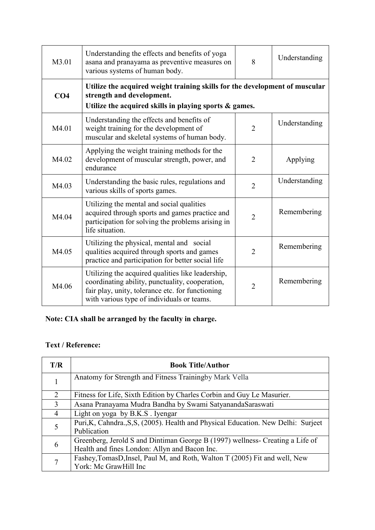| M3.01           | Understanding the effects and benefits of yoga<br>8<br>asana and pranayama as preventive measures on<br>various systems of human body.                                                                 |                | Understanding |
|-----------------|--------------------------------------------------------------------------------------------------------------------------------------------------------------------------------------------------------|----------------|---------------|
| CO <sub>4</sub> | Utilize the acquired weight training skills for the development of muscular<br>strength and development.<br>Utilize the acquired skills in playing sports & games.                                     |                |               |
| M4.01           | Understanding the effects and benefits of<br>weight training for the development of<br>muscular and skeletal systems of human body.                                                                    | $\overline{2}$ | Understanding |
| M4.02           | Applying the weight training methods for the<br>development of muscular strength, power, and<br>endurance                                                                                              | $\overline{2}$ | Applying      |
| M4.03           | Understanding the basic rules, regulations and<br>various skills of sports games.                                                                                                                      | $\overline{2}$ | Understanding |
| M4.04           | Utilizing the mental and social qualities<br>acquired through sports and games practice and<br>participation for solving the problems arising in<br>life situation.                                    | $\overline{2}$ | Remembering   |
| M4.05           | Utilizing the physical, mental and social<br>qualities acquired through sports and games<br>practice and participation for better social life                                                          | 2              | Remembering   |
| M4.06           | Utilizing the acquired qualities like leadership,<br>coordinating ability, punctuality, cooperation,<br>fair play, unity, tolerance etc. for functioning<br>with various type of individuals or teams. | $\overline{2}$ | Remembering   |

# **Note: CIA shall be arranged by the faculty in charge.**

### **Text / Reference:**

| T/R            | <b>Book Title/Author</b>                                                                                                       |
|----------------|--------------------------------------------------------------------------------------------------------------------------------|
|                | Anatomy for Strength and Fitness Trainingby Mark Vella                                                                         |
| $\overline{2}$ | Fitness for Life, Sixth Edition by Charles Corbin and Guy Le Masurier.                                                         |
| 3              | Asana Pranayama Mudra Bandha by Swami SatyanandaSaraswati                                                                      |
| $\overline{4}$ | Light on yoga by B.K.S. Iyengar                                                                                                |
|                | Puri, K, Cahndra., S, S, (2005). Health and Physical Education. New Delhi: Surjeet<br>Publication                              |
| 6              | Greenberg, Jerold S and Dintiman George B (1997) wellness- Creating a Life of<br>Health and fines London: Allyn and Bacon Inc. |
| 7              | Fashey, TomasD, Insel, Paul M, and Roth, Walton T (2005) Fit and well, New<br>York: Mc GrawHill Inc                            |